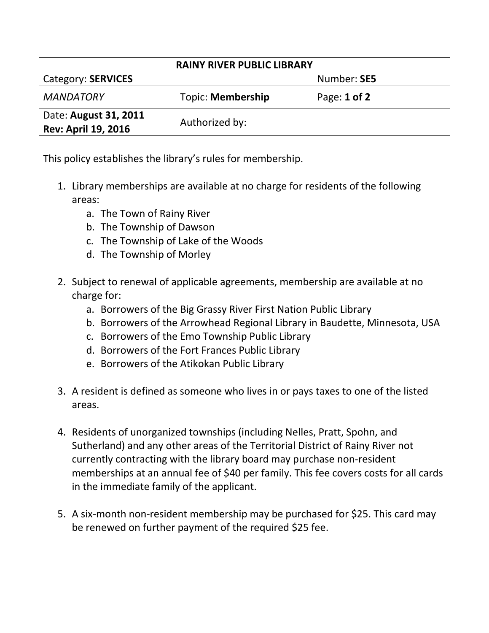| <b>RAINY RIVER PUBLIC LIBRARY</b>                   |                   |                  |  |
|-----------------------------------------------------|-------------------|------------------|--|
| <b>Category: SERVICES</b>                           |                   | Number: SE5      |  |
| <b>MANDATORY</b>                                    | Topic: Membership | Page: $1$ of $2$ |  |
| Date: August 31, 2011<br><b>Rev: April 19, 2016</b> | Authorized by:    |                  |  |

This policy establishes the library's rules for membership.

- 1. Library memberships are available at no charge for residents of the following areas:
	- a. The Town of Rainy River
	- b. The Township of Dawson
	- c. The Township of Lake of the Woods
	- d. The Township of Morley
- 2. Subject to renewal of applicable agreements, membership are available at no charge for:
	- a. Borrowers of the Big Grassy River First Nation Public Library
	- b. Borrowers of the Arrowhead Regional Library in Baudette, Minnesota, USA
	- c. Borrowers of the Emo Township Public Library
	- d. Borrowers of the Fort Frances Public Library
	- e. Borrowers of the Atikokan Public Library
- 3. A resident is defined as someone who lives in or pays taxes to one of the listed areas.
- 4. Residents of unorganized townships (including Nelles, Pratt, Spohn, and Sutherland) and any other areas of the Territorial District of Rainy River not currently contracting with the library board may purchase non-resident memberships at an annual fee of \$40 per family. This fee covers costs for all cards in the immediate family of the applicant.
- 5. A six-month non-resident membership may be purchased for \$25. This card may be renewed on further payment of the required \$25 fee.